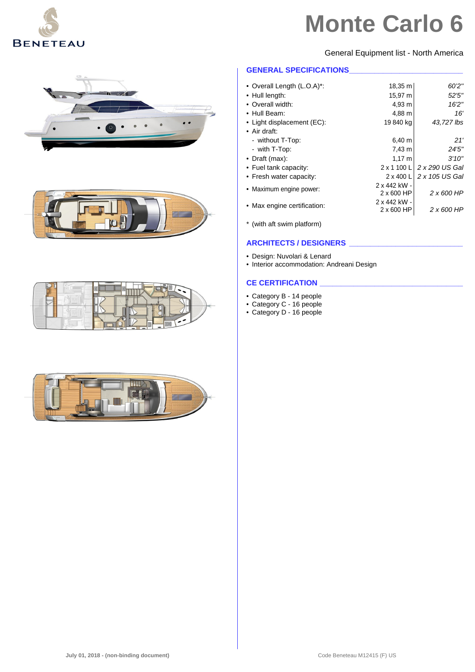

General Equipment list - North America

#### **GENERAL SPECIFICATIONS**

| • Overall Length (L.O.A)*:  | 18,35 m                    | 60'2"          |
|-----------------------------|----------------------------|----------------|
| • Hull length:              | 15,97 m                    | 52'5''         |
| • Overall width:            | 4,93 m                     | 16'2''         |
| • Hull Beam:                | 4,88 m                     | 16'            |
| • Light displacement (EC):  | 19 840 kg                  | 43,727 lbs     |
| $\bullet$ Air draft:        |                            |                |
| - without T-Top:            | $6,40 \; m$                | 21'            |
| - with T-Top:               | 7,43 m                     | 24'5"          |
| $\bullet$ Draft (max):      | $1,17 \; m$                | 3'10''         |
| • Fuel tank capacity:       | $2 \times 1100$ L          | 2 x 290 US Gal |
| • Fresh water capacity:     | $2 \times 400$ L           | 2 x 105 US Gal |
| • Maximum engine power:     | 2 x 442 kW -<br>2 x 600 HP | 2 x 600 HP     |
| • Max engine certification: | 2 x 442 kW -<br>2 x 600 HP | 2 x 600 HP     |
|                             |                            |                |

\* (with aft swim platform)

#### **ARCHITECTS / DESIGNERS \_\_\_\_\_\_\_\_\_\_\_\_\_\_\_\_\_\_\_\_\_\_\_\_\_\_\_**

• Design: Nuvolari & Lenard

• Interior accommodation: Andreani Design

#### **CE CERTIFICATION \_\_\_\_\_\_\_\_\_\_\_\_\_\_\_\_\_\_\_\_\_\_\_\_\_\_\_\_\_\_\_\_\_\_**

- Category B 14 people
- Category C 16 people
- Category D 16 people







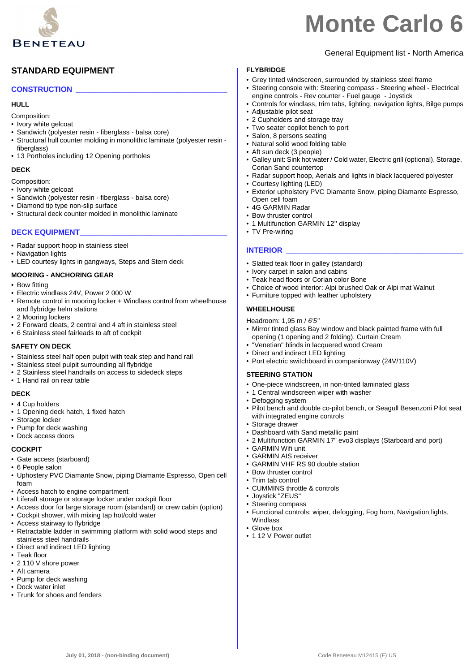

General Equipment list - North America

### **STANDARD EQUIPMENT**

#### **CONSTRUCTION \_\_\_\_\_\_\_\_\_\_\_\_\_\_\_\_\_\_\_\_\_\_\_\_\_\_\_\_\_\_\_\_\_\_\_\_**

#### **HULL**

Composition:

- Ivory white gelcoat
- Sandwich (polyester resin fiberglass balsa core)
- Structural hull counter molding in monolithic laminate (polyester resin fiberalass)
- 13 Portholes including 12 Opening portholes

#### **DECK**

- Composition:
- Ivory white gelcoat
- Sandwich (polyester resin fiberglass balsa core)
- Diamond tip type non-slip surface
- Structural deck counter molded in monolithic laminate

#### **DECK EQUIPMENT\_\_\_\_\_\_\_\_\_\_\_\_\_\_\_\_\_\_\_\_\_\_\_\_\_\_\_\_\_\_\_\_\_\_\_**

- Radar support hoop in stainless steel
- Navigation lights
- LED courtesy lights in gangways, Steps and Stern deck

#### **MOORING - ANCHORING GEAR**

- Bow fitting
- Electric windlass 24V, Power 2 000 W
- Remote control in mooring locker + Windlass control from wheelhouse and flybridge helm stations
- 2 Mooring lockers
- 2 Forward cleats, 2 central and 4 aft in stainless steel
- 6 Stainless steel fairleads to aft of cockpit

#### **SAFETY ON DECK**

- Stainless steel half open pulpit with teak step and hand rail
- Stainless steel pulpit surrounding all flybridge
- 2 Stainless steel handrails on access to sidedeck steps
- 1 Hand rail on rear table

#### **DECK**

- 4 Cup holders
- 1 Opening deck hatch, 1 fixed hatch
- Storage locker
- Pump for deck washing
- Dock access doors

#### **COCKPIT**

- Gate access (starboard)
- 6 People salon
- Uphostery PVC Diamante Snow, piping Diamante Espresso, Open cell foam
- Access hatch to engine compartment
- Liferaft storage or storage locker under cockpit floor
- Access door for large storage room (standard) or crew cabin (option)
- Cockpit shower, with mixing tap hot/cold water
- Access stairway to flybridge
- Retractable ladder in swimming platform with solid wood steps and stainless steel handrails
- Direct and indirect LED lighting
- Teak floor
- 2 110 V shore power
- Aft camera
- Pump for deck washing
- Dock water inlet
- Trunk for shoes and fenders

#### **FLYBRIDGE**

- Grey tinted windscreen, surrounded by stainless steel frame
- Steering console with: Steering compass Steering wheel Electrical engine controls - Rev counter - Fuel gauge - Joystick
- Controls for windlass, trim tabs, lighting, navigation lights, Bilge pumps
- Adjustable pilot seat
- 2 Cupholders and storage tray
- Two seater copilot bench to port
- Salon, 8 persons seating
- Natural solid wood folding table
- Aft sun deck (3 people)
- Galley unit: Sink hot water / Cold water, Electric grill (optional), Storage, Corian Sand countertop
- Radar support hoop, Aerials and lights in black lacquered polyester
- Courtesy lighting (LED)
- Exterior upholstery PVC Diamante Snow, piping Diamante Espresso, Open cell foam
- 4G GARMIN Radar
- Bow thruster control
- 1 Multifunction GARMIN 12" display
- TV Pre-wiring

#### **INTERIOR**

- Slatted teak floor in galley (standard)
- Ivory carpet in salon and cabins
- Teak head floors or Corian color Bone
- Choice of wood interior: Alpi brushed Oak or Alpi mat Walnut
- Furniture topped with leather upholstery

#### **WHEELHOUSE**

#### Headroom: 1,95 m / *6'5''*

- Mirror tinted glass Bay window and black painted frame with full opening (1 opening and 2 folding). Curtain Cream
- "Venetian" blinds in lacquered wood Cream
- Direct and indirect LED lighting
- Port electric switchboard in companionway (24V/110V)

#### **STEERING STATION**

- One-piece windscreen, in non-tinted laminated glass
- 1 Central windscreen wiper with washer
- Defogging system
- Pilot bench and double co-pilot bench, or Seagull Besenzoni Pilot seat with integrated engine controls
- Storage drawer
- Dashboard with Sand metallic paint
- 2 Multifunction GARMIN 17" evo3 displays (Starboard and port)

• Functional controls: wiper, defogging, Fog horn, Navigation lights,

- GARMIN Wifi unit
- GARMIN AIS receiver
- GARMIN VHF RS 90 double station
- Bow thruster control • Trim tab control
- CUMMINS throttle & controls
- Joystick "ZEUS"
- Steering compass

• 1 12 V Power outlet

Windlass • Glove box

**July 01, 2018 - (non-binding document)** Code Beneteau M12415 (F) US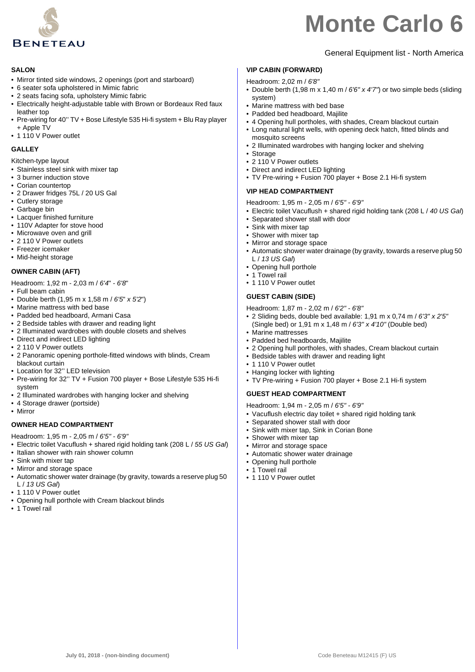

#### **SALON**

- Mirror tinted side windows, 2 openings (port and starboard)
- 6 seater sofa upholstered in Mimic fabric
- 2 seats facing sofa, upholstery Mimic fabric
- Electrically height-adjustable table with Brown or Bordeaux Red faux leather top
- Pre-wiring for 40'' TV + Bose Lifestyle 535 Hi-fi system + Blu Ray player + Apple TV
- 1 110 V Power outlet

#### **GALLEY**

Kitchen-type layout

- Stainless steel sink with mixer tap
- 3 burner induction stove
- Corian countertop
- 2 Drawer fridges 75L / 20 US Gal
- Cutlery storage
- Garbage bin
- Lacquer finished furniture
- 110V Adapter for stove hood
- Microwave oven and grill
- 2 110 V Power outlets
- Freezer icemaker
- Mid-height storage

#### **OWNER CABIN (AFT)**

- Headroom: 1,92 m 2,03 m / *6'4*" *6'8*"
- Full beam cabin
- Double berth (1,95 m x 1,58 m / *6'5*" *x 5'2*")
- Marine mattress with bed base
- Padded bed headboard, Armani Casa
- 2 Bedside tables with drawer and reading light
- 2 Illuminated wardrobes with double closets and shelves
- Direct and indirect LED lighting • 2 110 V Power outlets
- 2 Panoramic opening porthole-fitted windows with blinds, Cream blackout curtain
- Location for 32'' LED television
- Pre-wiring for 32'' TV + Fusion 700 player + Bose Lifestyle 535 Hi-fi system
- 2 Illuminated wardrobes with hanging locker and shelving
- 4 Storage drawer (portside)
- Mirror

#### **OWNER HEAD COMPARTMENT**

Headroom: 1,95 m - 2,05 m / *6'5" - 6'9"*

- Electric toilet Vacuflush + shared rigid holding tank (208 L / *55 US Gal*)
- Italian shower with rain shower column
- Sink with mixer tap
- Mirror and storage space
- Automatic shower water drainage (by gravity, towards a reserve plug 50 L / *13 US Gal*)
- 1 110 V Power outlet
- Opening hull porthole with Cream blackout blinds
- 1 Towel rail

# General Equipment list - North America

### **VIP CABIN (FORWARD)**

- Headroom: 2,02 m / *6'8"*
- Double berth (1,98 m x 1,40 m / *6'6" x 4'7"*) or two simple beds (sliding system)
- Marine mattress with bed base
- Padded bed headboard, Majilite
- 4 Opening hull portholes, with shades, Cream blackout curtain
- Long natural light wells, with opening deck hatch, fitted blinds and mosquito screens
- 2 Illuminated wardrobes with hanging locker and shelving
- Storage
- 2 110 V Power outlets
- Direct and indirect LED lighting • TV Pre-wiring + Fusion 700 player + Bose 2.1 Hi-fi system

### **VIP HEAD COMPARTMENT**

Headroom: 1,95 m - 2,05 m / *6'5" - 6'9"*

- Electric toilet Vacuflush + shared rigid holding tank (208 L / *40 US Gal*)
- Separated shower stall with door
- Sink with mixer tap
- Shower with mixer tap
- Mirror and storage space
- Automatic shower water drainage (by gravity, towards a reserve plug 50 L / *13 US Gal*)
- Opening hull porthole
- 1 Towel rail
- 1 110 V Power outlet

#### **GUEST CABIN (SIDE)**

Headroom: 1,87 m - 2,02 m / *6'2" - 6'8"*

- 2 Sliding beds, double bed available: 1,91 m x 0,74 m / *6'3" x 2'5"*  (Single bed) or 1,91 m x 1,48 m / *6'3" x 4'10"* (Double bed)
- Marine mattresses
- Padded bed headboards, Majilite
- 2 Opening hull portholes, with shades, Cream blackout curtain • Bedside tables with drawer and reading light
- 1 110 V Power outlet
- Hanging locker with lighting
- TV Pre-wiring + Fusion 700 player + Bose 2.1 Hi-fi system

#### **GUEST HEAD COMPARTMENT**

Headroom: 1,94 m - 2,05 m / *6'5" - 6'9"*

- Vacuflush electric day toilet + shared rigid holding tank
- Separated shower stall with door
- Sink with mixer tap, Sink in Corian Bone
- Shower with mixer tap
- Mirror and storage space
- Automatic shower water drainage
- Opening hull porthole
- 1 Towel rail
- 1 110 V Power outlet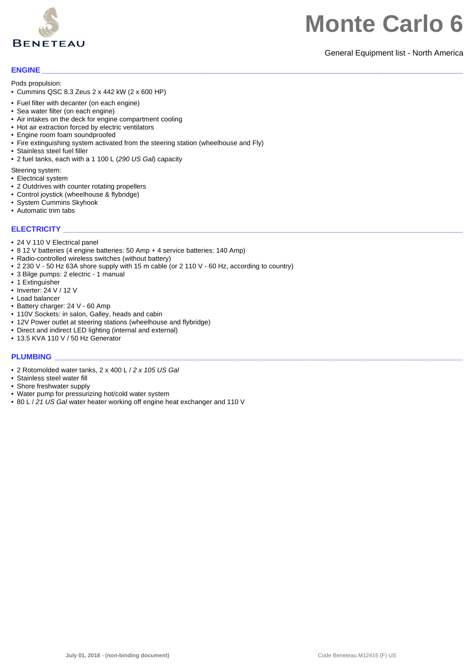

#### General Equipment list - North America

#### **ENGINE \_\_\_\_\_\_\_\_\_\_\_\_\_\_\_\_\_\_\_\_\_\_\_\_\_\_\_\_\_\_\_\_\_\_\_\_\_\_\_\_\_\_\_\_\_\_\_\_\_\_\_\_\_\_\_\_\_\_\_\_\_\_\_\_\_\_\_\_\_\_\_\_\_\_\_\_\_\_\_\_\_\_\_\_\_\_\_\_\_\_\_\_\_\_\_\_\_\_\_\_**

Pods propulsion:

- Cummins QSC 8.3 Zeus 2 x 442 kW (2 x 600 HP)
- Fuel filter with decanter (on each engine)
- Sea water filter (on each engine)
- Air intakes on the deck for engine compartment cooling
- Hot air extraction forced by electric ventilators
- Engine room foam soundproofed
- Fire extinguishing system activated from the steering station (wheelhouse and Fly)
- Stainless steel fuel filler
- 2 fuel tanks, each with a 1 100 L (*290 US Gal*) capacity

Steering system:

- Electrical system
- 2 Outdrives with counter rotating propellers
- Control joystick (wheelhouse & flybridge)
- System Cummins Skyhook
- Automatic trim tabs

#### **ELECTRICITY**

- 24 V 110 V Electrical panel
- 8 12 V batteries (4 engine batteries: 50 Amp + 4 service batteries: 140 Amp)
- Radio-controlled wireless switches (without battery)
- 2 230 V 50 Hz 63A shore supply with 15 m cable (or 2 110 V 60 Hz, according to country)
- 3 Bilge pumps: 2 electric 1 manual
- 1 Extinguisher
- Inverter: 24 V / 12 V
- Load balancer
- Battery charger: 24 V 60 Amp
- 110V Sockets: in salon, Galley, heads and cabin
- 12V Power outlet at steering stations (wheelhouse and flybridge)
- Direct and indirect LED lighting (internal and external)
- 13.5 KVA 110 V / 50 Hz Generator

#### **PLUMBING \_\_\_\_\_\_\_\_\_\_\_\_\_\_\_\_\_\_\_\_\_\_\_\_\_\_\_\_\_\_\_\_\_\_\_\_\_\_\_\_\_\_\_\_\_\_\_\_\_\_\_\_\_\_\_\_\_\_\_\_\_\_\_\_\_\_\_\_\_\_\_\_\_\_\_\_\_\_\_\_\_\_\_\_\_\_\_\_\_\_\_\_\_\_\_\_\_**

- 2 Rotomolded water tanks, 2 x 400 L / *2 x 105 US Gal*
- Stainless steel water fill
- Shore freshwater supply
- Water pump for pressurizing hot/cold water system
- 80 L / *21 US Gal* water heater working off engine heat exchanger and 110 V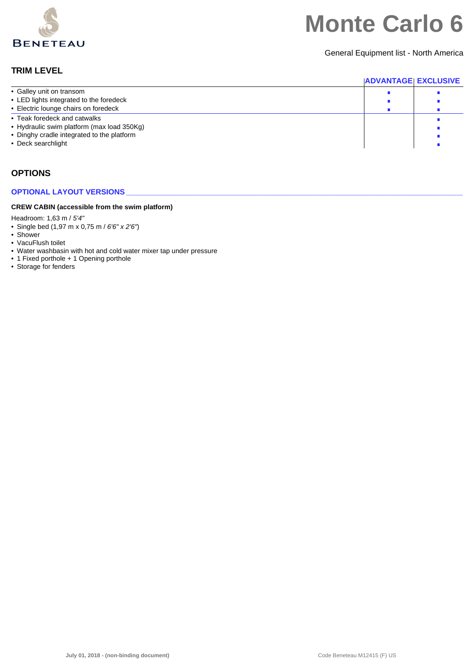

General Equipment list - North America

### **TRIM LEVEL**

|                                                                                          | <b>ADVANTAGE EXCLUSIVE</b> |  |
|------------------------------------------------------------------------------------------|----------------------------|--|
| • Galley unit on transom                                                                 |                            |  |
| • LED lights integrated to the foredeck                                                  |                            |  |
| • Electric lounge chairs on foredeck                                                     |                            |  |
| • Teak foredeck and catwalks                                                             |                            |  |
| • Hydraulic swim platform (max load 350Kg)<br>• Dinghy cradle integrated to the platform |                            |  |
| • Deck searchlight                                                                       |                            |  |

### **OPTIONS**

#### **OPTIONAL LAYOUT VERSIONS**

#### **CREW CABIN (accessible from the swim platform)**

Headroom: 1,63 m / *5'4"*

- Single bed (1,97 m x 0,75 m / *6'6" x 2'6"*)
- Shower
- VacuFlush toilet
- Water washbasin with hot and cold water mixer tap under pressure
- 1 Fixed porthole + 1 Opening porthole
- Storage for fenders